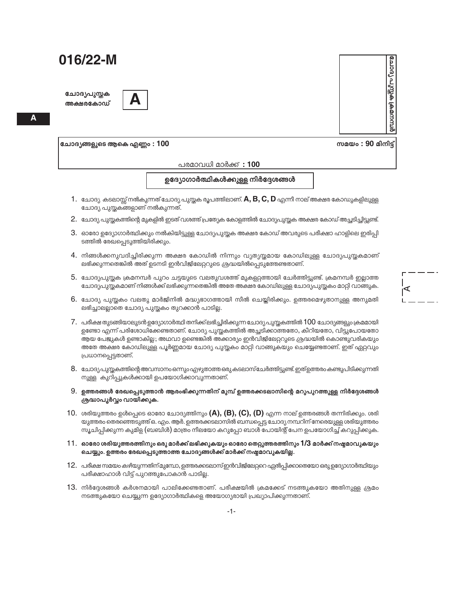ചോദ്യപുസ്തക അക്ഷരകോഡ്



ചോദ്യങ്ങളുടെ ആകെ എണ്ണം : 100

പരമാവധി മാർക്ക് : 100

ഉദ്യോഗാർത്ഥികൾക്കുള്ള നിർദ്ദേശങ്ങൾ

- $1.$  ചോദ്യ കടലാസ്സ് നൽകുന്നത് ചോദ്യ പുസ്തക രൂപത്തിലാണ്.  $\mathsf A,\mathsf B,\mathsf C,\mathsf D$  എന്നീ നാല് അക്ഷര കോഡുകളിലുള്ള ചോദ്യ പുസ്തകങ്ങളാണ് നൽകുന്നത്.
- 2. ചോദ്യ പുസ്തകത്തിന്റെ മുകളിൽ ഇടത് വശത്ത് പ്രത്യേക കോളത്തിൽ ചോദ്യപുസ്തക അക്ഷര കോഡ് അച്ചടിച്ചിട്ടുണ്ട്.
- 3. ഓരോ ഉദ്യോഗാർത്ഥിക്കും നൽകിയിട്ടുള്ള ചോദ്യപുസ്തക അക്ഷര കോഡ് അവരുടെ പരീക്ഷാ ഹാളിലെ ഇരിപ്പി ടത്തിൽ രേഖപ്പെടുത്തിയിരിക്കും.
- 4. നിങ്ങൾക്കനുവദിച്ചിരിക്കുന്ന അക്ഷര കോഡിൽ നിന്നും വ്യത്യസ്തമായ കോഡിലുള്ള ചോദ്യപുസ്തകമാണ് ലഭിക്കുന്നതെങ്കിൽ അത് ഉടനടി ഇൻവിജിലേറ്ററുടെ ശ്രദ്ധയിൽപ്പെടുത്തേണ്ടതാണ്.
- 5. ചോദ്യപുസ്തക ക്രമനമ്പർ പുറം ചട്ടയുടെ വലതുവശത്ത് മുകളറ്റത്തായി ചേർത്തിട്ടുണ്ട്. ക്രമനമ്പർ ഇല്ലാത്ത ചോദ്യപുസ്തകമാണ് നിങ്ങൾക്ക് ലഭിക്കുന്നതെങ്കിൽ അതേ അക്ഷര കോഡിലുള്ള ചോദ്യപുസ്തകം മാറ്റി വാങ്ങുക.
- 6. ചോദ്യ പുസ്തകം വലതു മാർജിനിൽ മദ്ധ്യഭാഗത്തായി സീൽ ചെയ്യിരിക്കും. ഉത്തരമെഴുതാനുള്ള അനുമതി ലഭിച്ചാലല്ലാതെ ചോദ്യ പുസ്തകം തുറക്കാൻ പാടില്ല.
- $7.$  പരീക്ഷ തുടങ്ങിയാലുടൻ ഉദ്യോഗാർത്ഥി തനിക്ക് ലഭിച്ചിരിക്കുന്ന ചോദ്യ പുസ്തകത്തിൽ  $100$  ചോദ്യങ്ങളും ക്രമമായി ഉണ്ടോ എന്ന് പരിശോധിക്കേണ്ടതാണ്. ചോദ്യ പുസ്തകത്തിൽ അച്ചടിക്കാത്തതോ, കീറിയതോ, വിട്ടുപോയതോ ആയ പേജുകൾ ഉണ്ടാകില്ല; അഥവാ ഉണ്ടെങ്കിൽ അക്കാര്യം ഇൻവിജിലേറ്ററുടെ ശ്രദ്ധയിൽ കൊണ്ടുവരികയും അതേ അക്ഷര കോഡിലുള്ള പൂർണ്ണമായ ചോദ്യ പുസ്തകം മാറ്റി വാങ്ങുകയും ചെയ്യേണ്ടതാണ്. ഇത് ഏറ്റവും പ്രധാനപ്പെട്ടതാണ്.
- 8. ചോദ്യപുസ്തകത്തിന്റെ അവസാനം ഒന്നും എഴുതാത്ത ഒരു കടലാസ് ചേർത്തിട്ടുണ്ട്. ഇത്ഉത്തരം കണ്ടുപിടിക്കുന്നതി നുള്ള കുറിപ്പുകൾക്കായി ഉപയോഗിക്കാവുന്നതാണ്.
- 9. ഉത്തരങ്ങൾ രേഖപ്പെടുത്താൻ ആരംഭിക്കുന്നതിന് മുമ്പ് ഉത്തരക്കടലാസിന്റെ മറുപുറത്തുള്ള നിർദ്ദേശങ്ങൾ ശ്രദ്ധാപൂർവ്വം വായിക്കുക.
- 10. ശരിയുത്തരം ഉൾപ്പെടെ ഓരോ ചോദ്യത്തിനും (A), (B), (C), (D) എന്ന നാല് ഉത്തരങ്ങൾ തന്നിരിക്കും. ശരി യുത്തരം തെരഞ്ഞെടുത്ത് ഒ. എം. ആർ. ഉത്തരക്കടലാസിൽ ബന്ധപ്പെട്ട ചോദ്യ നമ്പറിന് നേരെയുള്ള ശരിയുത്തരം സൂചിപ്പിക്കുന്ന കുമിള (ബബിൾ) മാത്രം നീലയോ കറുപ്പോ ബാൾ പോയിന്റ് പേന ഉപയോഗിച്ച് കറുപ്പിക്കുക.
- $11.$  ഓരോ ശരിയുത്തരത്തിനും ഒരു മാർക്ക് ലഭിക്കുകയും ഓരോ തെറ്റുത്തരത്തിനും  $1/3$  മാർക്ക് നഷ്ടമാവുകയും ചെയ്യും. ഉത്തരം രേഖപ്പെടുത്താത്ത ചോദ്യങ്ങൾക്ക് മാർക്ക് നഷ്ടമാവുകയില്ല.
- 12. പരീക്ഷ സമയം കഴിയുന്നതിന് മുമ്പോ, ഉത്തരക്കടലാസ് ഇൻവിജിലേറ്ററെ ഏൽപ്പിക്കാതെയോ ഒരു ഉദ്യോഗാർത്ഥിയും പരീക്ഷാഹാൾ വിട്ട് പുറത്തുപോകാൻ പാടില്ല.
- 13. നിർദേശങ്ങൾ കർശനമായി പാലിക്കേണ്ടതാണ്. പരീക്ഷയിൽ ക്രമക്കേട് നടത്തുകയോ അതിനുള്ള ശ്രമം നടത്തുകയോ ചെയ്യുന്ന ഉദ്യോഗാർത്ഥികളെ അയോഗ്യരായി പ്രഖ്യാപിക്കുന്നതാണ്.

മ്പാധയ്ക്ക കണ്ണ്പ്ര (ടെല്മ സമയം : 90 മിനിട്

| ı |  |  |
|---|--|--|
| I |  |  |
| ľ |  |  |
|   |  |  |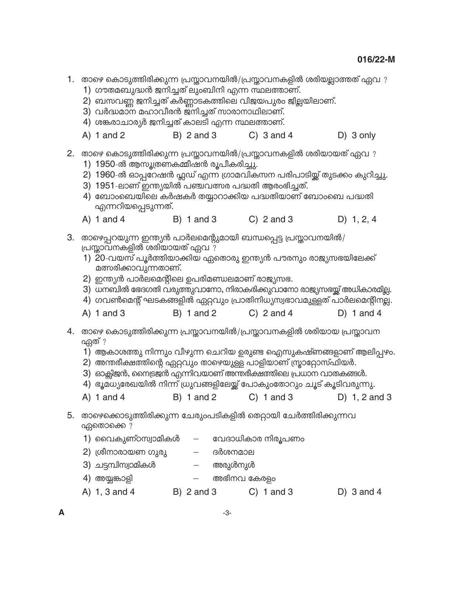- 1. താഴെ കൊടുത്തിരിക്കുന്ന പ്രസ്താവനയിൽ/പ്രസ്താവനകളിൽ ശരിയല്ലാത്തത് ഏവ ?
	- 1) ഗൗതമബുദ്ധൻ ജനിച്ചത് ലുംബിനി എന്ന സ്ഥലത്താണ്.
	- 2) ബസവണ്ണ ജനിച്ചത് കർണ്ണാടകത്തിലെ വിജയപുരം ജില്ലയിലാണ്.
	- 3) വർദ്ധമാന മഹാവീരൻ ജനിച്ചത് സാരാനാഥിലാണ്.
	- 4) ശങ്കരാചാര്യർ ജനിച്ചത് കാലടി എന്ന സ്ഥലത്താണ്.
	- $A)$  1 and 2  $B)$  2 and 3  $C)$  3 and 4  $D)$  3 only
- 2. താഴെ കൊടുത്തിരിക്കുന്ന പ്രസ്താവനയിൽ/പ്രസ്താവനകളിൽ ശരിയായത് ഏവ ?
	- 1) 1950-ൽ ആസൂത്രണകമ്മീഷൻ രൂപീകരിച്ചു.
	- 2) 1960-ൽ ഓപ്പറേഷൻ ഫ്ലഡ് എന്ന ഗ്രാമവികസന പരിപാടിയ്ക് തുടക്കം കുറിച്ചു.
	- 3) 1951-ലാണ് ഇന്ത്യയിൽ പഞ്ചവത്സര പദ്ധതി ആരംഭിച്ചത്.
	- 4) ബോംബെയിലെ കർഷകർ തയ്യാറാക്കിയ പദ്ധതിയാണ് ബോംബെ പദ്ധതി എന്നറിയപ്പെടുന്നത്.
	- A) 1 and 4  $B)$  1 and 3  $C)$  2 and 3 D)  $1, 2, 4$
- 3. താഴെപ്പറയുന്ന ഇന്ത്യൻ പാർലമെന്റുമായി ബന്ധപ്പെട്ട പ്രസ്താവനയിൽ/ പ്രസ്താവനകളിൽ ശരിയായത് ഏവ ?
	- 1) 20-വയസ് പൂർത്തിയാക്കിയ ഏതൊരു ഇന്ത്യൻ പൗരനും രാജ്യസഭയിലേക്ക് മത്സരിക്കാവുന്നതാണ്.
	- 2) ഇന്ത്യൻ പാർലമെന്റിലെ ഉപരിമണ്ഡലമാണ് രാജ്യസഭ.
	- 3) ധനബിൽ ഭേദഗതി വരുത്തുവാനോ, നിരാകരിക്കുവാനോ രാജ്യസഭയ്ക്ക് അധികാരമില്ല.
	- 4) ഗവൺമെന്റ് ഘടകങ്ങളിൽ ഏറ്റവും പ്രാതിനിധ്യസ്വഭാവമുള്ളത് പാർലമെന്റിനല്ല.
	- $B)$  1 and 2  $C)$  2 and 4 D) 1 and 4  $A)$  1 and 3
- 4. താഴെ കൊടുത്തിരിക്കുന്ന പ്രസ്താവനയിൽ/പ്രസ്താവനകളിൽ ശരിയായ പ്രസ്താവന ഏത് ?
	- 1) ആകാശത്തു നിന്നും വീഴുന്ന ചെറിയ ഉരുണ്ട ഐസുകഷ്ണങ്ങളാണ് ആലിപ്പഴം.
	- 2) അന്തരീക്ഷത്തിന്റെ ഏറ്റവും താഴെയുള്ള പാളിയാണ് സ്രാറ്റോസ്ഫിയർ.
	- 3) ഓക്ലിജൻ, നൈട്രജൻ എന്നിവയാണ് അന്തരീക്ഷത്തിലെ പ്രധാന വാതകങ്ങൾ.
	- 4) ഭൂമധ്യരേഖയിൽ നിന്ന് ധ്രുവങ്ങളിലേയ്ക്ക് പോകുംതോറും ചൂട് കൂടിവരുന്നു.
	- $C)$  1 and 3 A)  $1$  and  $4$  $B)$  1 and 2 D)  $1, 2$  and 3
- 5. താഴെക്കൊടുത്തിരിക്കുന്ന ചേരുംപടികളിൽ തെറ്റായി ചേർത്തിരിക്കുന്നവ ഏതൊക്കെ ?
	- 1) വൈകുണ്ഠസ്വാമികൾ — വേദാധികാര നിരൂപണം
	- 2) ശ്രീനാരായണ ഗുരു — ദർശനമാല
	- 3) ചട്ടമ്പിസ്വാമികൾ അരുൾനുൾ
	- അഭിനവ കേരളം 4) അയ്യങ്കാളി
	- A) 1, 3 and 4  $B)$  2 and 3 D)  $3$  and  $4$  $C)$  1 and 3
- A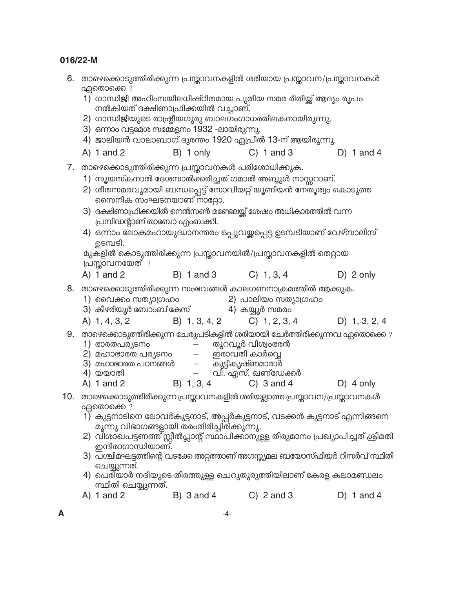| 6.  | താഴെക്കൊടുത്തിരിക്കുന്ന പ്രസ്താവനകളിൽ ശരിയായ പ്രസ്താവന/പ്രസ്താവനകൾ<br>ഏതൊക്കെ ?<br>3) ഒന്നാം വട്ടമേശ സമ്മേളനം 1932 -ലായിരുന്നു.                                                                                                               | നൽകിയത് ദക്ഷിണാഫ്രിക്കയിൽ വച്ചാണ്.         | 1) ഗാന്ധിജി അഹിംസയിലധിഷ്ഠിതമായ പുതിയ സമര രീതിയ്ക്ക് ആദ്യം രൂപം<br>2) ഗാന്ധിജിയുടെ രാഷ്ട്രീയഗുരു ബാലഗംഗാധരതിലകനായിരുന്നു.<br>4) ജാലിയൻ വാലാബാഗ് ദുരന്തം 1920 ഏപ്രിൽ 13-ന് ആയിരുന്നു.                                                                                                                                              |                 |
|-----|-----------------------------------------------------------------------------------------------------------------------------------------------------------------------------------------------------------------------------------------------|--------------------------------------------|----------------------------------------------------------------------------------------------------------------------------------------------------------------------------------------------------------------------------------------------------------------------------------------------------------------------------------|-----------------|
|     | A) $1$ and $2$                                                                                                                                                                                                                                | B) 1 only                                  | $C)$ 1 and 3                                                                                                                                                                                                                                                                                                                     | D) 1 and 4      |
|     | 7. താഴെക്കൊടുത്തിരിക്കുന്ന പ്രസ്താവനകൾ പരിശോധിക്കുക.<br>സൈനിക സംഘടനയാണ് നാറ്റോ.<br>പ്രസിഡന്റാണ് താബോ എംബക്കി.<br>ഉടമ്പടി.<br>പ്രസ്താവനയേത്?                                                                                                   |                                            | 1) സൂയസ്കനാൽ ദേശസാൽക്കരിച്ചത് ഗമാൽ അബ്ദുൾ നാസ്സറാണ്.<br>2) ശീതസമരവുമായി ബന്ധപ്പെട്ട് സോവിയറ്റ് യൂണിയൻ നേതൃത്വം കൊടുത്ത<br>3) ദക്ഷിണാഫ്രിക്കയിൽ നെൽസൺ മണ്ടേലയ്ക്ക് ശേഷം അധികാരത്തിൽ വന്ന<br>4) ഒന്നാം ലോകമഹായുദ്ധാനന്തരം ഒപ്പുവയ്ക്കപ്പെട്ട ഉടമ്പടിയാണ് വേഴ്സാലീസ്<br>മുകളിൽ കൊടുത്തിരിക്കുന്ന പ്രസ്താവനയിൽ/പ്രസ്താവനകളിൽ തെറ്റായ |                 |
|     | $A)$ 1 and 2                                                                                                                                                                                                                                  | B) 1 and 3 C) 1, 3, 4                      |                                                                                                                                                                                                                                                                                                                                  | $D)$ 2 only     |
| 8.  | താഴെക്കൊടുത്തിരിക്കുന്ന സംഭവങ്ങൾ കാലഗണനാക്രമത്തിൽ ആക്കുക.<br>1) വൈക്കം സത്യാഗ്രഹം<br>3) കീഴരിയൂർ ബോംബ് കേസ്                 4) കയ്യൂർ സമരം<br>A) 1, 4, 3, 2                                                                                   | B) 1, 3, 4, 2                              | 2) പാലിയം സത്യാഗ്രഹം<br>$C)$ 1, 2, 3, 4                                                                                                                                                                                                                                                                                          | $D)$ 1, 3, 2, 4 |
|     | 9. താഴെക്കൊടുത്തിരിക്കുന്ന ചേരുപടികളിൽ ശരിയായി ചേർത്തിരിക്കുന്നവ ഏതൊക്കെ ?<br>1) ഭാരതപര്യടനം<br>2) മഹാഭാരത പര്യടനം            ഇരാവതി കാർവ്വെ<br>3) മഹാഭാരത പഠനങ്ങൾ               കുട്ടികൃഷ്ണമാരാർ<br>4) ഇമ്പാതി<br>4) യയാതി<br>A) $1$ and $2$ | B) 1, 3, 4                                 | തുറവൂർ വിശ്വംഭരൻ<br>വി. എസ്. ഖണ്ഡേക്കർ<br>$C)$ 3 and 4                                                                                                                                                                                                                                                                           | $D)$ 4 only     |
| 10. | താഴെക്കൊടുത്തിരിക്കുന്ന പ്രസ്താവനകളിൽ ശരിയല്ലാത്ത പ്രസ്താവന/പ്രസ്താവനകൾ<br>ഏതൊക്കെ ?<br>ഇന്ദിരാഗാന്ധിയാണ്.<br>ചെയ്യുന്നത്.<br>സ്ഥിതി ചെയ്യുന്നത്.                                                                                             | മൂന്നു വിഭാഗങ്ങളായി തരംതിരിച്ചിരിക്കുന്നു. | 1) കുട്ടനാടിനെ ലോവർകുട്ടനാട്, അപ്പർകുട്ടനാട്, വടക്കൻ കുട്ടനാട് എന്നിങ്ങനെ<br>2) വിശാഖപട്ടണത്ത് സ്റ്റീൽപ്ലാന്റ് സ്ഥാപിക്കാനുള്ള തീരുമാനം പ്രഖ്യാപിച്ചത് ശ്രീമതി<br>3) പശ്ചിമഘട്ടത്തിന്റെ വടക്കേ അറ്റത്താണ് അഗസ്ത്യമല ബയോസ്ഫിയർ റിസർവ് സ്ഥിതി<br>4) പെരിയാർ നദിയുടെ തീരത്തുള്ള ചെറുതുരുത്തിയിലാണ് കേരള കലാമണ്ഡലം                   |                 |
|     | A) $1$ and $2$                                                                                                                                                                                                                                | $B)$ 3 and 4                               | $C)$ 2 and 3                                                                                                                                                                                                                                                                                                                     | D) 1 and 4      |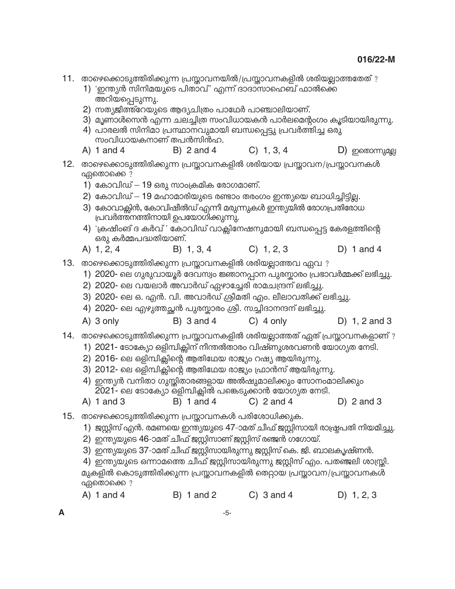- 11. താഴെക്കൊടുത്തിരിക്കുന്ന പ്രസ്താവനയിൽ/പ്രസ്താവനകളിൽ ശരിയല്ലാത്തതേത് ? 1) 'ഇന്ത്യൻ സിനിമയുടെ പിതാവ്' എന്ന് ദാദാസാഹെബ് ഫാൽക്കെ അറിയപ്പെടുന്നു. 2) സത്യജിത്ത്റേയുടെ ആദ്യചിത്രം പാഥേർ പാഞ്ചാലിയാണ്. 3) മൃണാൾസെൻ എന്ന ചലച്ചിത്ര സംവിധായകൻ പാർലമെന്റംഗം കൂടിയായിരുന്നു. 4) പാരലൽ സിനിമാ പ്രസ്ഥാനവുമായി ബന്ധപ്പെട്ടു പ്രവർത്തിച്ച ഒരു സംവിധായകനാണ് തപൻസിൻഹ. A) 1 and 4  $B)$  2 and 4  $C)$  1, 3, 4  $D)$  ഇതൊന്നുമല്ല 12. താഴെക്കൊടുത്തിരിക്കുന്ന പ്രസ്താവനകളിൽ ശരിയായ പ്രസ്താവന/പ്രസ്താവനകൾ ഏതൊക്കെ ? 1) കോവിഡ് – 19 ഒരു സാംക്രമിക രോഗമാണ്. 2) കോവിഡ് - 19 മഹാമാരിയുടെ രണ്ടാം തരംഗം ഇന്ത്യയെ ബാധിച്ചിട്ടില്ല. 3) കോവാക്ലിൻ, കോവിഷീൽഡ് എന്നീ മരുന്നുകൾ ഇന്ത്യയിൽ രോഗപ്രതിരോധ പ്രവർത്തനത്തിനായി ഉപയോഗിക്കുന്നു. 4) 'ക്രഷിംങ് ദ കർവ്' കോവിഡ് വാക്ലിനേഷനുമായി ബന്ധപ്പെട്ട കേരളത്തിന്റെ ഒരു കർമ്മപദ്ധതിയാണ്.  $C)$  1, 2, 3 A) 1, 2, 4  $B)$  1, 3, 4 D) 1 and 4 13. താഴെക്കൊടുത്തിരിക്കുന്ന പ്രസ്താവനകളിൽ ശരിയല്ലാത്തവ ഏവ ? 1) 2020- ലെ ഗുരുവായൂർ ദേവസ്വം ജ്ഞാനപ്പാന പുരസ്കാരം പ്രഭാവർമ്മക്ക് ലഭിച്ചു. 2) 2020- ലെ വയലാർ അവാർഡ് ഏഴാച്ചേരി രാമചന്ദ്രന് ലഭിച്ചു. 3) 2020- ലെ ഒ. എൻ. വി. അവാർഡ് ശ്രീമതി എം. ലീലാവതിക്ക് ലഭിച്ചു. 4) 2020- ലെ എഴുത്തച്ഛൻ പുരസ്കാരം ശ്രീ. സച്ചിദാനന്ദന് ലഭിച്ചു. A) 3 only  $B)$  3 and 4 D)  $1, 2$  and 3  $C)$  4 only 14. താഴെക്കൊടുത്തിരിക്കുന്ന പ്രസ്താവനകളിൽ ശരിയല്ലാത്തത് ഏത് പ്രസ്താവനകളാണ് ? 1) 2021- ടോക്യോ ഒളിമ്പിക്ലിന് നീന്തൽതാരം വിഷ്ണുശരവണൻ യോഗ്യത നേടി. 2) 2016- ലെ ഒളിമ്പിക്സിന്റെ ആതിഥേയ രാജ്യം റഷ്യ ആയിരുന്നു. 3) 2012- ലെ ഒളിമ്പിക്ലിന്റെ ആതിഥേയ രാജ്യം ഫ്രാൻസ് ആയിരുന്നു. 4) ഇന്ത്യൻ വനിതാ ഗുസ്ലിതാരങ്ങളായ അൽഷുമാലിക്കും സോനംമാലിക്കും 2021- ലെ ടോക്യോ ഒളിമ്പിക്ലിൽ പങ്കെടുക്കാൻ യോഗ്യത നേടി.  $A)$  1 and 3  $B)$  1 and 4  $C)$  2 and 4 D)  $2$  and  $3$ 15. താഴെക്കൊടുത്തിരിക്കുന്ന പ്രസ്താവനകൾ പരിശോധിക്കുക. 1) ജസ്റ്റിസ് എൻ. രമണയെ ഇന്ത്യയുടെ 47-ാമത് ചീഫ് ജസ്റ്റിസായി രാഷ്ട്രപതി നിയമിച്ചു. 2) ഇന്ത്യയുടെ 46-ാമത് ചീഫ് ജസ്റ്റിസാണ് ജസ്റ്റിസ് രഞ്ജൻ ഗഗോയ്. 3) ഇന്ത്യയുടെ 37-ാമത് ചീഫ് ജസ്റ്റിസായിരുന്നു ജസ്റ്റിസ് കെ. ജി. ബാലകൃഷ്ണൻ. 4) ഇന്ത്യയുടെ ഒന്നാമത്തെ ചീഫ് ജസ്റ്റിസായിരുന്നു ജസ്റ്റിസ് എം. പതഞ്ജലി ശാസ്ത്രി. മുകളിൽ കൊടുത്തിരിക്കുന്ന പ്രസ്താവനകളിൽ തെറ്റായ പ്രസ്താവന/പ്രസ്താവനകൾ ഏതൊക്കെ ? A) 1 and 4  $B)$  1 and 2  $C)$  3 and 4  $D)$  1, 2, 3
- A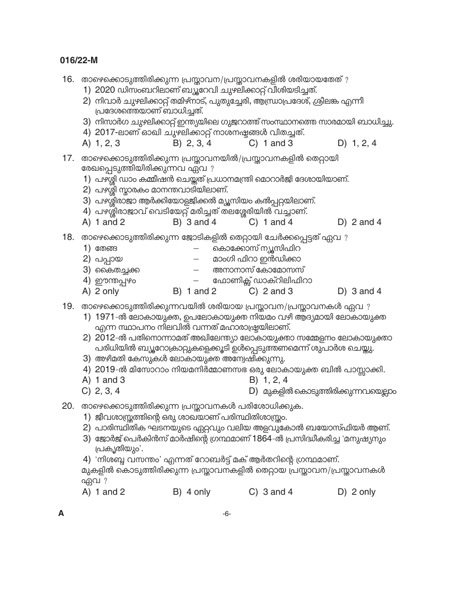|     | 16. താഴെക്കൊടുത്തിരിക്കുന്ന പ്രസ്താവന/പ്രസ്താവനകളിൽ ശരിയായതേത് ?<br>1) 2020 ഡിസംബറിലാണ് ബ്യൂറേവി ചുഴലിക്കാറ്റ് വീശിയടിച്ചത്.<br>പ്രദേശത്തെയാണ് ബാധിച്ചത്.<br>4) 2017-ലാണ് ഓഖി ചുഴലിക്കാറ്റ് നാശനഷ്ടങ്ങൾ വിതച്ചത്.<br>A) 1, 2, 3                                               | B) 2, 3, 4                                   | 2) നിവാർ ചുഴലിക്കാറ്റ് തമിഴ്നാട്, പുതുച്ചേരി, ആന്ധ്രാപ്രദേശ്, ശ്രീലങ്ക എന്നീ<br>3) നിസാർഗ ചുഴലിക്കാറ്റ് ഇന്ത്യയിലെ ഗുജറാത്ത് സംസ്ഥാനത്തെ സാരമായി ബാധിച്ചു.<br>$C)$ 1 and 3                                                                                                                                                                                  | D) $1, 2, 4$                        |
|-----|-------------------------------------------------------------------------------------------------------------------------------------------------------------------------------------------------------------------------------------------------------------------------------|----------------------------------------------|-------------------------------------------------------------------------------------------------------------------------------------------------------------------------------------------------------------------------------------------------------------------------------------------------------------------------------------------------------------|-------------------------------------|
| 17. | താഴെക്കൊടുത്തിരിക്കുന്ന പ്രസ്താവനയിൽ/പ്രസ്താവനകളിൽ തെറ്റായി<br>രേഖപ്പെടുത്തിയിരിക്കുന്നവ ഏവ ?<br>2) പഴശ്ശി സ്താരകം മാനന്തവാടിയിലാണ്.<br>3)  പഴശ്ശീരാജാ ആർക്കിയോളജിക്കൽ മ്യൂസിയം കൽപ്പറ്റയിലാണ്.<br>4) പഴശ്ശിരാജാവ് വെടിയേറ്റ് മരിച്ചത് തലശ്ശേരിയിൽ വച്ചാണ്.<br>A) $1$ and $2$ | B) $3$ and $4$                               | 1) പഴശ്ശി ഡാം കമ്മീഷൻ ചെയ്തത് പ്രധാനമന്ത്രി മൊറാർജി ദേശായിയാണ്.<br>$C)$ 1 and 4                                                                                                                                                                                                                                                                             | D) $2$ and $4$                      |
|     | 18. താഴെക്കൊടുത്തിരിക്കുന്ന ജോടികളിൽ തെറ്റായി ചേർക്കപ്പെട്ടത് ഏവ ?<br>1) തേങ്ങ<br>2) പപ്പായ<br>3) കൈതച്ചക്ക<br>4) ഈന്തപ്പഴം<br>A) 2 only                                                                                                                                      | $B)$ 1 and 2                                 | കൊക്കോസ് ന്യൂസിഫിറ<br>മാംഗി ഫിറാ ഇൻഡിക്കാ<br>അനാനാസ് കോമോസസ്<br>ഫോണിക്സ് ഡാക്റിലിഫിറാ<br>$C)$ 2 and 3                                                                                                                                                                                                                                                       | D) $3$ and $4$                      |
| 19. | 3) അഴിമതി കേസുകൾ ലോകായുക്ത അന്വേഷിക്കുന്നു.<br>$A)$ 1 and 3<br>C) 2, 3, 4                                                                                                                                                                                                     | എന്ന സ്ഥാപനം നിലവിൽ വന്നത് മഹാരാഷ്ട്രയിലാണ്. | താഴെക്കൊടുത്തിരിക്കുന്നവയിൽ ശരിയായ പ്രസ്താവന/പ്രസ്താവനകൾ ഏവ ?<br>1) 1971-ൽ ലോകായുക്ത, ഉപലോകായുക്ത നിയമം വഴി ആദ്യമായി ലോകായുക്ത<br>2) 2012-ൽ പതിനൊന്നാമത് അഖിലേന്ത്യാ ലോകായുക്താ സമ്മേളനം ലോകായുക്താ<br>പരിധിയിൽ ബ്യൂറോക്രാറ്റുകളെക്കൂടി ഉൾപ്പെടുത്തണമെന്ന് ശുപാർശ ചെയ്തു.<br>4) 2019-ൽ മിസോറാം നിയമനിർമ്മാണസഭ ഒരു ലോകായുക്ത ബിൽ പാസ്സാക്കി.<br>$B)$ 1, 2, 4 | D) മുകളിൽ കൊടുത്തിരിക്കുന്നവയെല്ലാം |
| 20. | താഴെക്കൊടുത്തിരിക്കുന്ന പ്രസ്താവനകൾ പരിശോധിക്കുക.<br>1) ജീവശാസ്ത്രത്തിന്റെ ഒരു ശാഖയാണ് പരിസ്ഥിതിശാസ്ത്രം.<br>പ്രകൃതിയും'.<br>ഏവ ?<br>A) 1 and 2                                                                                                                               | B) 4 only                                    | 2) പാരിസ്ഥിതിക ഘടനയുടെ ഏറ്റവും വലിയ അളവുകോൽ ബയോസ്ഫിയർ ആണ്.<br>3) ജോർജ് പെർകിൻസ് മാർഷിന്റെ ഗ്രന്ഥമാണ് 1864-ൽ പ്രസിദ്ധീകരിച്ച 'മനുഷ്യനും<br>4) 'നിശബ്ബ വസന്തം' എന്നത് റോബർട്ട് മക് ആർതറിന്റെ ഗ്രന്ഥമാണ്.<br>മുകളിൽ കൊടുത്തിരിക്കുന്ന പ്രസ്താവനകളിൽ തെറ്റായ പ്രസ്താവന/പ്രസ്താവനകൾ<br>C) $3$ and $4$                                                            | D) 2 only                           |

 $\mathbf{A}$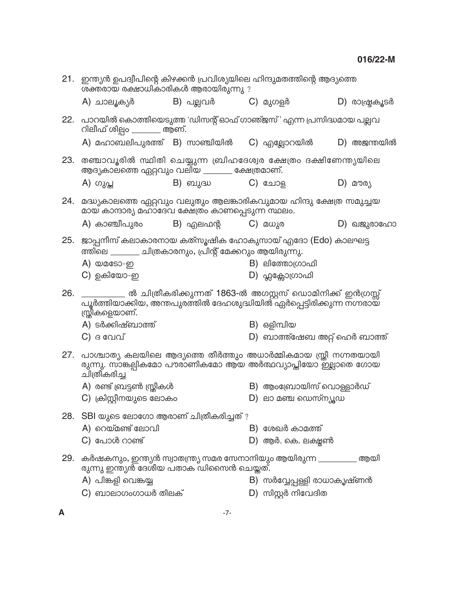| 21. | ഇന്ത്യൻ ഉപദ്വീപിന്റെ കിഴക്കൻ പ്രവിശ്യയിലെ ഹിന്ദുമതത്തിന്റെ ആദ്യത്തെ<br>ശക്തരായ രക്ഷാധികാരികൾ ആരായിരുന്നു ?                                        |                             |                                                                |                                          |
|-----|---------------------------------------------------------------------------------------------------------------------------------------------------|-----------------------------|----------------------------------------------------------------|------------------------------------------|
|     | A) ചാലൂകൃർ                                                                                                                                        | B) പല്ലവർ         C) മുഗളർ  |                                                                | D) രാഷ്ട്രകൂടർ                           |
|     | 22. പാറയിൽ കൊത്തിയെടുത്ത 'ഡിസന്റ് ഓഫ് ഗാഞ്ജസ്' എന്ന പ്രസിദ്ധമായ പല്ലവ<br>റിലീഫ് ശില്പം _______ ആണ്.                                               |                             |                                                                |                                          |
|     | A) മഹാബലിപുരത്ത് B) സാഞ്ചിയിൽ  C) എല്ലോറയിൽ                                                                                                       |                             |                                                                | D) അജന്തയിൽ                              |
| 23. | തഞ്ചാവൂരിൽ സ്ഥിതി ചെയ്യുന്ന ബ്രിഹദേശ്വര ക്ഷേത്രം ദക്ഷിണേന്ത്യയിലെ<br>ആദ്യകാലത്തെ ഏറ്റവും വലിയ _______ ക്ഷേത്രമാണ്.                                |                             |                                                                |                                          |
|     | A) ഗുപ്ത                                                                                                                                          | B) ബുദ്ധ             C) ചോള |                                                                | $D)$ $\triangle$ $\triangle$ $\triangle$ |
| 24. | മദ്ധ്യകാലത്തെ ഏറ്റവും വലുതും ആലങ്കാരികവുമായ ഹിന്ദു ക്ഷേത്ര സമുച്ചയ<br>മായ കാന്ദാര്യ മഹാദേവ ക്ഷേത്രം കാണപ്പെടുന്ന സ്ഥലം.                           |                             |                                                                |                                          |
|     | A) കാഞ്ചീപുരം                                                                                                                                     | B) എലഫൻ്റ                   | C) $\Delta$ $\omega$                                           | D) ഖജുരാഹോ                               |
| 25. | ജാപ്പനീസ് കലാകാരനായ കത്സൂഷിക ഹോകുസായ് എദോ (Edo) കാലഘട്ട<br>ത്തിലെ ________ ചിത്രകാരനും, പ്രിന്റ് മേക്കറും ആയിരുന്നു.                              |                             |                                                                |                                          |
|     | A) യമടോ-ഇ<br>C) ഉകിയോ-ഇ                                                                                                                           |                             | B) ലിത്തോഗ്രാഫി                                                |                                          |
|     |                                                                                                                                                   |                             | D) ഫ്ലക്സോഗ്രാഫി                                               |                                          |
| 26. | പൂർത്തിയാക്കിയ, അന്തപുരത്തിൽ ദേഹശുദ്ധിയിൽ ഏർപ്പെട്ടിരിക്കുന്ന നഗ്നരായ്<br>സ്ത്രീകളെയാണ്.                                                          |                             | ___ ൽ ചിത്രീകരിക്കുന്നത് 1863-ൽ അഗസ്റ്റസ് ഡൊമിനിക്ക് ഇൻഗ്രസ്സ് |                                          |
|     | A) ടർക്കിഷ്ബാത്ത്                                                                                                                                 |                             | $B)$ ഒളിമ്പിയ                                                  |                                          |
|     | $C)$ ദ വേവ്                                                                                                                                       |                             | D) ബാത്ത്ഷേബ അറ്റ് ഹെർ ബാത്ത്                                  |                                          |
| 27. | പാശ്ചാത്യ കലയിലെ ആദ്യത്തെ തീർത്തും അധാർമ്മികമായ സ്ത്രീ നഗ്നതയായി<br>രുന്നു. സാങ്കല്പികമോ പൗരാണികമോ ആയ അർത്ഥവ്യാപ്തിയോ ഇല്ലാതെ ഗോയ<br>ചിത്രീകരിച്ച |                             |                                                                |                                          |
|     | A) രണ്ട് ബ്രട്ടൺ സ്ത്രീകൾ                                                                                                                         |                             | $B$ ) ആംബ്രോയിസ് വൊള്ളാർഡ്                                     |                                          |
|     | C) ക്രിസ്റ്റീനയുടെ ലോകം                                                                                                                           |                             | D) ലാ മഞ്ച ഡെസ്ന്യൂഡ                                           |                                          |
|     | 28. SBI യുടെ ലോഗോ ആരാണ് ചിത്രീകരിച്ചത് ?                                                                                                          |                             |                                                                |                                          |
|     | A) റെയ്മണ്ട് ലോവി                                                                                                                                 |                             | B) ശേഖർ കാമത്ത്                                                |                                          |
|     | $C)$ പോൾ റാണ്ട്                                                                                                                                   |                             | D) ആർ. കെ. ലക്ഷ്യൺ                                             |                                          |
| 29. | കർഷകനും, ഇന്ത്യൻ സ്വാതന്ത്ര്യ സമര സേനാനിയും ആയിരുന്ന __________<br>രുന്നു ഇന്ത്യൻ ദേശീയ പതാക ഡിസൈൻ ചെയ്തത്.                                       |                             |                                                                | ആയി                                      |
|     | A) പിങ്കളി വെങ്കയ്യ<br>C) ബാലാഗംഗാധർ തിലക്                                                                                                        |                             | B) സർവ്വേപ്പള്ളി രാധാകൃഷ്ണൻ<br>$D)$ സിസ്റ്റർ നിവേദിത           |                                          |

 $\boldsymbol{\mathsf{A}}$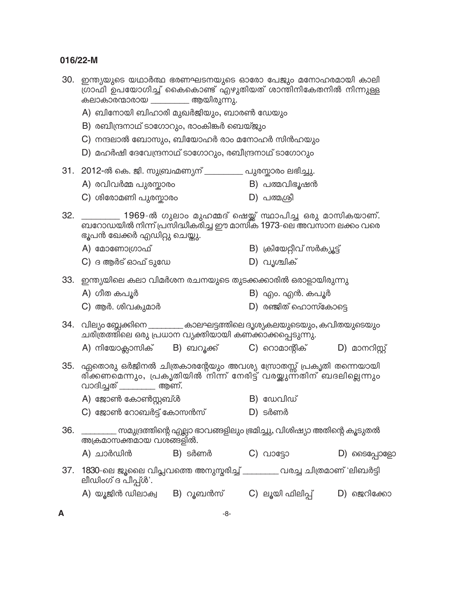| 30. | ഇന്ത്യയുടെ യഥാർത്ഥ ഭരണഘടനയുടെ ഓരോ പേജും മനോഹരമായി കാലി<br>ഗ്രാഫി ഉപയോഗിച്ച് കൈകൊണ്ട് എഴുതിയത് ശാന്തിനികേതനിൽ നിന്നുള്ള<br>കലാകാരന്മാരായ _________ ആയിരുന്നു.                                     |                                                         |                                             |               |
|-----|--------------------------------------------------------------------------------------------------------------------------------------------------------------------------------------------------|---------------------------------------------------------|---------------------------------------------|---------------|
|     | A) ബിനോയി ബിഹാരി മുഖർജിയും, ബാരൺ ഡേയും                                                                                                                                                           |                                                         |                                             |               |
|     | B) രബീന്ദ്രനാഥ് ടാഗോറും, രാംകിങ്കർ ബെയ്ജും                                                                                                                                                       |                                                         |                                             |               |
|     | $C$ ) നന്ദലാൽ ബോസും, ബിയോഹർ രാം മനോഹർ സിൻഹയും                                                                                                                                                    |                                                         |                                             |               |
|     | D) മഹർഷി ദേവേന്ദ്രനാഥ് ടാഗോറും, രബീന്ദ്രനാഥ് ടാഗോറും                                                                                                                                             |                                                         |                                             |               |
|     | 31. 2012-ൽ കെ. ജി. സുബ്രഹ്മണ്യന് _________ പുരസ്കാരം ലഭിച്ചു.                                                                                                                                    |                                                         |                                             |               |
|     | A) രവിവർമ്മ പുരസ്കാരം                                                                                                                                                                            |                                                         | B) പത്മവിഭൂഷൻ                               |               |
|     | C) ശിരോമണി പുരസ്കാരം                                                                                                                                                                             |                                                         | D) പത്മശ്രീ                                 |               |
| 32. | ബറോഡയിൽ നിന്ന് പ്രസിദ്ധീകരിച്ച ഈ മാസിക 1973-ലെ അവസാന ലക്കം വരെ<br>ഭൂപൻ ഖേക്കർ എഡിറ്റു ചെയ്തു.                                                                                                    | 1969-ൽ ഗുലാം മുഹമ്മദ് ഷെയ്ക്ക് സ്ഥാപിച്ച ഒരു മാസികയാണ്. |                                             |               |
|     | A) മോണോഗ്രാഫ്                                                                                                                                                                                    |                                                         | B) ക്രിയേറ്റീവ് സർക്യൂട്ട്                  |               |
|     | C) ദ ആർട് ഓഫ് ടുഡേ                                                                                                                                                                               |                                                         | D) വൃശ്ചിക്                                 |               |
|     | 33.   ഇന്ത്യയിലെ കലാ വിമർശന രചനയുടെ തുടക്കക്കാരിൽ ഒരാളായിരുന്നു<br>A) ഗീത കപൂർ<br>C) ആർ. ശിവകുമാർ                                                                                                |                                                         | $B$ ) എം. എൻ. കപൂർ<br>D) രഞ്ജിത് ഹൊസ്കോട്ടെ |               |
|     | 34. വില്യം ബ്ലേക്കിനെ _________ കാലഘട്ടത്തിലെ ദൃശ്യകലയുടെയും, കവിതയുടെയും<br>ചരിത്രത്തിലെ ഒരു പ്രധാന വ്യക്തിയായി കണക്കാക്കപ്പെടുന്നു.<br>A) നിയോക്ലാസിക് B) ബറൂക്ക് C) റൊമാന്റിക് D) മാനറിസ്റ്റ് |                                                         |                                             |               |
| 35. | ഏതൊരു ഒർജിനൽ ചിത്രകാരന്റേയും അവശ്യ സ്രോതസ്സ് പ്രകൃതി തന്നെയായി<br>രിക്കണമെന്നും, പ്രകൃതിയിൽ നിന്ന് നേരിട്ട് വരയ്ക്കുന്നതിന് ബദലില്ലെന്നും<br>വാദിച്ചത് _________ ആണ്.                            |                                                         |                                             |               |
|     | A) ജോൺ കോൺസ്റ്റബ്ൾ                                                                                                                                                                               |                                                         | $B)$ ഡേവിഡ്                                 |               |
|     | C) ജോൺ റോബർട്ട് കോസൻസ്                                                                                                                                                                           |                                                         | D) ടർണർ                                     |               |
| 36. | _________ സമുദ്രത്തിന്റെ എല്ലാ ഭാവങ്ങളിലും ഭ്രമിച്ചു, വിശിഷ്യാ അതിന്റെ കൂടുതൽ<br>അക്രമാസക്തമായ വശങ്ങളിൽ.                                                                                         |                                                         |                                             |               |
|     | A) ചാർഡിൻ                                                                                                                                                                                        | B) ടർണർ                                                 | $C)$ വാട്ടോ                                 | $D)$ ടൈപ്പോളോ |
| 37. | 1830-ലെ ജൂലൈ വിപ്ലവത്തെ അനുസ്മരിച്ച് _________ വരച്ച ചിത്രമാണ് 'ലിബർട്ടി<br>ലീഡിംഗ് ദ പീപ്പ്ൾ'.                                                                                                  |                                                         |                                             |               |
|     | A) യൂജിൻ ഡിലാക്വ B) റൂബൻസ് C) ലൂയി ഫിലിപ്പ് D) ജെറിക്കോ                                                                                                                                          |                                                         |                                             |               |
| A   |                                                                                                                                                                                                  | -8-                                                     |                                             |               |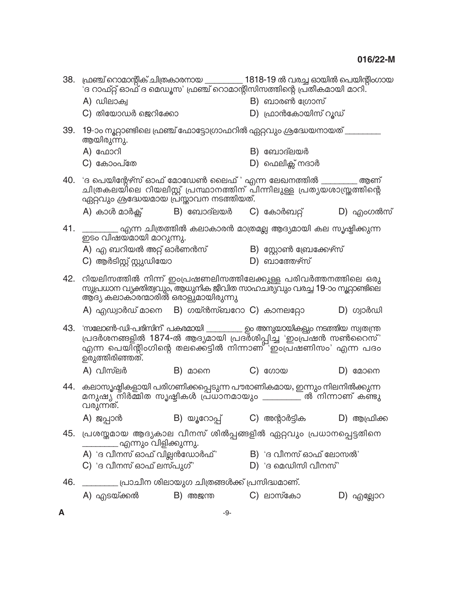| 38. | ഫ്രഞ്ച് റൊമാന്റിക് ചിത്രകാരനായ __________ 1818-19 ൽ വരച്ച ഓയിൽ പെയിന്റിംഗായ<br>'ദ റാഫ്റ്റ് ഓഫ് ദ മെഡൂസ' ഫ്രഞ്ച് റൊമാന്റിസിസത്തിന്റെ പ്രതീകമായി മാറി.                                                                         |                                                                  |                            |              |
|-----|------------------------------------------------------------------------------------------------------------------------------------------------------------------------------------------------------------------------------|------------------------------------------------------------------|----------------------------|--------------|
|     | A) ഡിലാക്വ                                                                                                                                                                                                                   |                                                                  | $B)$ ബാരൺ ഗ്രോസ്           |              |
|     | $C$ ) തിയോഡർ ജെറിക്കോ                                                                                                                                                                                                        |                                                                  | D) ഫ്രാൻകോയിസ് റൂഡ്        |              |
| 39. | 19-ാം നൂറ്റാണ്ടിലെ ഫ്രഞ്ച് ഫോട്ടോഗ്രാഫറിൽ ഏറ്റവും ശ്രദ്ധേയനായത് ___<br>ആയിരുന്നു.                                                                                                                                            |                                                                  |                            |              |
|     | A) ഫോറി                                                                                                                                                                                                                      |                                                                  | B) ബോദ്ലയർ                 |              |
|     | C) കോംപ്തേ                                                                                                                                                                                                                   |                                                                  | D) ഫെലിക്സ് നദാർ           |              |
| 40. | 'ദ പെയിന്റേഴ്സ് ഓഫ് മോഡേൺ ലൈഫ് ' എന്ന ലേഖനത്തിൽ __________<br>ചിത്രകലയിലെ റിയലിസ്റ്റ് പ്രസ്ഥാനത്തിന് പിന്നിലുള്ള പ്രത്യയശാസ്ത്രത്തിന്റെ<br>ഏറ്റവും ശ്രദ്ധേയമായ പ്രസ്താവന നടത്തിയത്.                                          |                                                                  |                            | ആണ്          |
|     | A) കാൾ മാർക്ക്                                                                                                                                                                                                               | B) ബോദ്ലയർ C) കോർബറ്റ്                                           |                            | D) എംഗൽസ്    |
| 41. | ഇടം വിഷയ്മായി മാറുന്നു.                                                                                                                                                                                                      | ____ എന്ന ചിത്രത്തിൽ കലാകാരൻ മാത്രമല്ല ആദ്യമായി കല സൃഷ്ടിക്കുന്ന |                            |              |
|     | A) എ ബറിയൽ അറ്റ് ഓർണൻസ്                                                                                                                                                                                                      |                                                                  | $B$ ) സ്റ്റോൺ ബ്രേക്കേഴ്സ് |              |
|     | C) ആർടിസ്റ്റ് സ്റ്റുഡിയോ                                                                                                                                                                                                     |                                                                  | $D)$ ബാത്തേഴ്സ്            |              |
| 42. | റിയലിസത്തിൽ നിന്ന് ഇംപ്രഷണലിസത്തിലേക്കുള്ള പരിവർത്തനത്തിലെ ഒരു<br>സുപ്രധാന വ്യക്തിത്വവും, ആധുനിക ജീവിത സാഹച്മ്യവും വരച്ച 19-ാം നൂറ്റാണ്ടിലെ<br>ആദ്യ കലാക്ാരന്മാരിൽ ഒരാളുമായിരുന്നു                                           |                                                                  |                            |              |
|     | A) എഡ്വാർഡ് മാനെ B) ഗയ്ൻസ്ബറോ C) കാനലറ്റോ                                                                                                                                                                                    |                                                                  |                            | $D)$ ഗ്വാർഡി |
| 43. | 'സലോൺ-ഡി-പരിസിന്' പകരമായി __________ ഉം അനുയായികളും നടത്തിയ സ്വതന്ത്ര<br>പ്രദർശനങ്ങളിൽ 1874-ൽ ആദ്യമായി പ്രദർശിപ്പിച്ച 'ഇംപ്രഷൻ സൺറൈസ്'<br>എന്ന പെയിന്റിംഗിന്റെ തലക്കെട്ടിൽ നിന്നാണ് 'ഇംപ്രഷണിസം' എന്ന പദം<br>ഉരുത്തിരിഞ്ഞത്. |                                                                  |                            |              |
|     | $A)$ വിസ്ലർ                                                                                                                                                                                                                  | B) മാനെ                                                          | $C)$ cope                  | $D)$ മോനെ    |
| 44. | കലാസൃഷ്ടികളായി പരിഗണിക്കപ്പെടുന്ന പൗരാണികമായ, ഇന്നും നിലനിൽക്കുന്ന<br>മനുഷു നിർമ്മിത സൃഷ്ടികൾ പ്രധാനമായും _________ ൽ നിന്നാണ് കണ്ടു<br>വരുന്നത്.                                                                            |                                                                  |                            |              |
|     | A) ജപ്പാൻ                                                                                                                                                                                                                    | B) യൂറോപ്പ് C) അന്റാർട്ടിക                                       |                            | D) ആഫ്രിക്ക  |
| 45. | പ്രശസ്തമായ ആദ്യകാല വീനസ് ശിൽപ്പങ്ങളിൽ ഏറ്റവും പ്രധാനപ്പെട്ടതിനെ<br>_ എന്നും വിളിക്കുന്നു.                                                                                                                                    |                                                                  |                            |              |
|     | A) 'ദ വീനസ് ഓഫ് വില്ലൻഡോർഫ്'                                                                                                                                                                                                 |                                                                  | B) 'ദ വീനസ് ഓഫ് ലോസൽ'      |              |
|     | C) 'ദ വീനസ് ഓഫ് ലസ്പുഗ്'                                                                                                                                                                                                     |                                                                  | $D)$ 'ദ മെഡിസി വീനസ്'      |              |
| 46. |                                                                                                                                                                                                                              | _____ പ്രാചീന ശിലായുഗ ചിത്രങ്ങൾക്ക് പ്രസിദ്ധമാണ്.                |                            |              |
|     | A) എടയ്ക്കൽ                                                                                                                                                                                                                  | $B)$ അജന്ത                                                       | $C)$ ലാസ്കോ                | D) എല്ലോറ    |

 $\boldsymbol{\mathsf{A}}$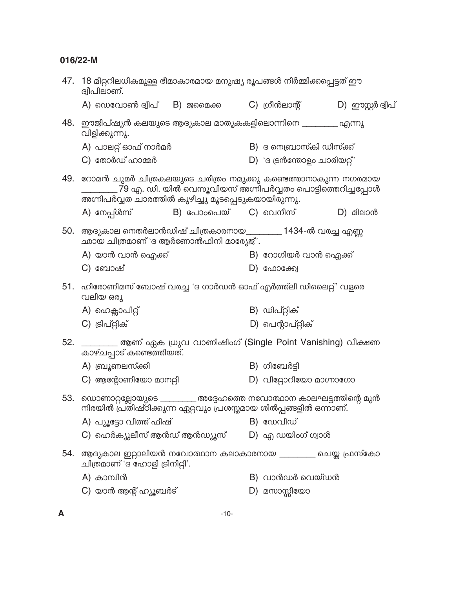| 47. | 18 മീറ്ററിലധികമുള്ള ഭീമാകാരമായ മനുഷ്യ രൂപങ്ങൾ നിർമ്മിക്കപ്പെട്ടത് ഈ<br>ദ്വീപിലാണ്.                                                    |                              |                                                           |                   |
|-----|---------------------------------------------------------------------------------------------------------------------------------------|------------------------------|-----------------------------------------------------------|-------------------|
|     | A) ഡെവോൺ ദ്വീപ്     B)  ജമൈക്ക                                                                                                        |                              | C) ഗ്രീൻലാന്റ്                                            | D) ഈസ്റ്റർ ദ്വീപ് |
| 48. | ഈജിപ്ഷ്യൻ കലയുടെ ആദ്യകാല മാതൃകകളിലൊന്നിനെ _________<br>വിളിക്കുന്നു.                                                                  |                              |                                                           | . എന്നു           |
|     | A) പാലറ്റ് ഓഫ് നാർമർ                                                                                                                  |                              | $B$ ) ദ നെബ്രാസ്കി ഡിസ്ക്ക്                               |                   |
|     | C) തോർഡ് ഹാമ്മർ                                                                                                                       |                              | D) 'ദ ട്രൻന്തോളം ചാരിയറ്റ്'                               |                   |
| 49. | റോമൻ ചുമർ ചിത്രകലയുടെ ചരിത്രം നമുക്കു കണ്ടെത്താനാകുന്ന നഗരമായ<br>അഗ്നിപർവ്വത ചാരത്തിൽ കുഴിച്ചു മൂടപ്പെടുകയായിരുന്നു.                  |                              | 79 എ. ഡി. യിൽ വെസൂവിയസ് അഗ്നിപർവ്വതം പൊട്ടിത്തെറിച്ചപ്പോൾ |                   |
|     | A) നേപ്പ്ൾസ്                                                                                                                          | B) പോംപെയ് $\bf{C}$ ) വെനീസ് |                                                           | $D)$ മിലാൻ        |
| 50. | ആദ്യകാല നെതർലാൻഡിഷ് ചിത്രകാരനായ_________ 1434-ൽ വരച്ച എണ്ണ<br>ഛായ ചിത്രമാണ് 'ദ ആർണോൽഫിനി മാര്യേജ്'.                                   |                              |                                                           |                   |
|     | A) യാൻ വാൻ ഐക്ക്                                                                                                                      |                              | B) റോഗിയർ വാൻ ഐക്ക്                                       |                   |
|     | C) ബോഷ്                                                                                                                               |                              | $D)$ ഫോക്ക്വേ                                             |                   |
| 51. | ഹിരോണിമസ് ബോഷ് വരച്ച 'ദ ഗാർഡൻ ഓഫ് എർത്ത്ലി ഡിലൈറ്റ്' വളരെ<br>വലിയ ഒരു                                                                 |                              |                                                           |                   |
|     | A) ഹെക്സാപിറ്റ്                                                                                                                       |                              | B) ഡിപ്റ്റിക്                                             |                   |
|     | $C)$ ട്രിപ്റ്റിക്                                                                                                                     |                              | $D)$ പെന്റാപ്റ്റിക്                                       |                   |
| 52. | ________ ആണ് ഏക ധ്രുവ വാണിഷിംഗ് (Single Point Vanishing) വീക്ഷണ<br>കാഴ്ചപ്പാട് കണ്ടെത്തിയത്.                                          |                              |                                                           |                   |
|     | A) ബ്രൂണലസ്ക്കി                                                                                                                       |                              | $B)$ ഗിബേർട്ടി                                            |                   |
|     | $C$ ) ആന്റോണിയോ മാനറ്റി                                                                                                               |                              | D) വിദ്യോറിയോ മാഗ്നാഗോ                                    |                   |
| 53. | ഡൊണാറ്റല്ലോയുടെ _________ അദ്ദേഹത്തെ നവോത്ഥാന കാലഘട്ടത്തിന്റെ മുൻ<br>നിരയിൽ പ്രതിഷ്ഠിക്കുന്ന ഏറ്റവും പ്രശസ്തമായ ശിൽപ്പങ്ങളിൽ ഒന്നാണ്. |                              |                                                           |                   |
|     | A) പ്യൂട്ടോ വിത്ത് ഫിഷ്                                                                                                               |                              | $B)$ ഡേവിഡ്                                               |                   |
|     | $C$ ) ഹെർക്യുലീസ് ആൻഡ് ആൻഡ്യൂസ് $D$ ) എ ഡയിംഗ് ഗ്വാൾ                                                                                  |                              |                                                           |                   |
| 54. | ആദ്യകാല ഇറ്റാലിയൻ നവോത്ഥാന കലാകാരനായ _________ ചെയ്ത ഫ്രസ്കോ<br>ചിത്രമാണ് 'ദ ഹോളി ട്രിനിറ്റി'.                                        |                              |                                                           |                   |
|     | A) കാമ്പിൻ                                                                                                                            |                              | $B)$ വാൻഡർ വെയ്ഡൻ                                         |                   |
|     | C) യാൻ ആന്റ് ഹ്യൂബർട്                                                                                                                 |                              | D) മസാസ്സിയോ                                              |                   |
|     |                                                                                                                                       |                              |                                                           |                   |

 $\mathbf{A}$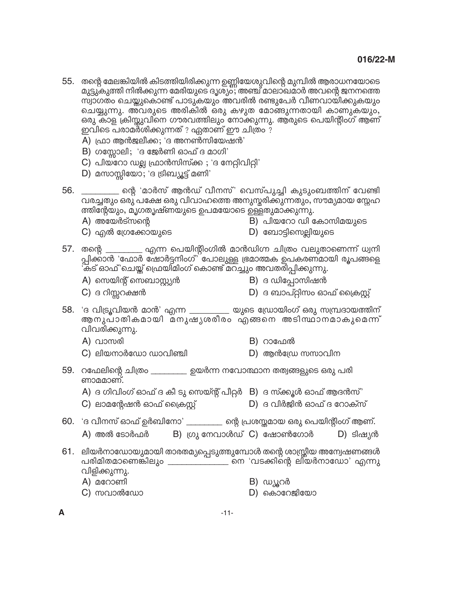- 55. തന്റെ മേലങ്കിയിൽ കിടത്തിയിരിക്കുന്ന ഉണ്ണിയേശുവിന്റെ മുമ്പിൽ ആരാധനയോടെ മുട്ടുകുത്തി നിൽക്കുന്ന മേരിയുടെ ദൃശ്യം'', അഞ്ച് മാലാ്ഖമാർ അവന്റെ ജനനത്തെ സ്വാഗതം ചെയ്യുകൊണ്ട് പാടുകയും അവരിൽ രണ്ടുപേർ വീണവായിക്കുകയും ചെയ്യുന്നു. അവരുടെ അരികിൽ ഒരു കഴുത മോങ്ങുന്നതായി കാണുകയും, ഒരു കാള ക്രിസ്റ്റുവിനെ ഗൗരവത്തിലും നോക്കുന്നു. ആരുടെ പെയിന്റിംഗ് ആണ് ഇവിടെ പരാമർശിക്കുന്നത് ? ഏതാണ് ഈ ചിത്രം ?
	- A) ഫ്രാ ആൻജലീക്ക; 'ദ അനൺസിയേഷൻ'
	- B) ഗസ്സോലി; 'ദ ജേർണി ഓഫ് ദ മാഗി'
	- C) പിയറോ ഡല്ല ഫ്രാൻസിസ്ക്ക ; 'ദ നേറ്റിവിറ്റി'
	- D) മസാസ്സിയോ; 'ദ ട്രിബ്യൂട്ട് മണി'
- 56. \_\_\_\_\_\_\_\_ ന്റെ 'മാർസ് ആൻഡ് വീനസ്' വെസ്പുച്ചി കുടുംബത്തിന് വേണ്ടി വരച്ചതും ഒരു പക്ഷേ ഒരു വിവാഹത്തെ അനുസ്തരിക്കുന്നതും, സൗമ്യമായ സ്റ്റേഹ ത്തിന്റേയും, മൃഗതൃഷ്ണയുടെ ഉപമയോടെ ഉള്ളതുമാക്കുന്നു.
	- A) അയേർട്സന്റെ
	- C) എൽ ഗ്രേക്കോയുടെ
- B) പിയറോ ഡി കോസിമയുടെ
- $D)$  ബോട്ടിസെല്ലിയുടെ
- \_\_\_\_ എന്ന പെയിന്റിംഗിൽ മാൻഡിഗ്ന ചിത്രം വലുതാണെന്ന് ധ്വനി 57. തന്റെ \_ പ്പിക്കാൻ 'ഫോർ ഷോർട്ടനിംഗ്'്പോലുള്ള ഭ്രമാത്മക ഉപകരണ്മായി രൂപങ്ങളെ 'കട് ഓഫ്'ചെയ്ത് ഫ്രെയിമിംഗ് കൊണ്ട് മറച്ചും അവതരിപ്പിക്കുന്നു.
	- A) സെയിന്റ് സെബാസ്റ്റ്യൻ

 $B)$  ദ ഡിപ്പോസിഷൻ

 $C)$  ദ റിസ്സറക്ഷൻ

- D) ദ ബാപ്റ്റിസം ഓഫ് ക്രൈസ്റ്റ്
- 58. 'ദ വിട്രൂവിയൻ മാൻ' എന്ന \_\_\_\_\_\_\_\_\_\_\_ യുടെ ഡ്രോയിംഗ് ഒരു സമ്പ്രദായത്തിന് ആനുപാതികമായി മനുഷൃശരീരം എങ്ങനെ അടിസ്ഥാനമാകുമെന്ന് വിവരിക്കുന്നു.
	- A) വാസരി
- B) റാഫേൽ
- $\mathsf{C}$ ) ലിയനാർഡോ ഡാവിഞ്ചി  $\mathsf{D}$ ) ആൻഡ്രേ സസാവിന
- 59. റഫേലിന്റെ ചിത്രം \_\_\_\_\_\_\_\_\_ ഉയർന്ന നവോത്ഥാന തത്വങ്ങളുടെ ഒരു പരി ണാമമാണ്.
	- A) ദ ഗിവിംഗ് ഓഫ് ദ കീ ടു സെയ്ന്റ് പീറ്റർ B) ദ സ്ക്കൂൾ ഓഫ് ആദൻസ്'
	- $C$ ) ലാമന്റേഷൻ ഓഫ് ക്രൈസ്റ്റ്  $D)$  ദ വിർജിൻ ഓഫ് ദ റോക്സ്
- 60. 'ദ വീനസ് ഓഫ് ഉർബിനോ' \_\_\_\_\_\_\_\_\_\_ ന്റെ പ്രശസ്തമായ ഒരു പെയിന്റിംഗ് ആണ്. B) ഗ്രു നേവാൾഡ്  $C$ ) ഷോൺഗോർ A) അൽ ടോർഫർ  $D)$  ടിഷ്യൻ
- 61. ലിയർനാഡോയുമായി താരതമ്യപ്പെടുത്തുമ്പോൾ തന്റെ ശാസ്ത്രീയ അന്വേഷണങ്ങൾ പരിമിതമാണെങ്കിലും \_\_\_\_\_\_\_\_\_\_\_\_\_ നെ 'വടക്കിന്റെ ലിയർനാഡോ' എന്നു വിളിക്കുന്നു.
	- A) മറോണി  $C)$  സവാൽഡോ
- B) ഡ്യൂറർ
- D) കൊറേജിയോ

A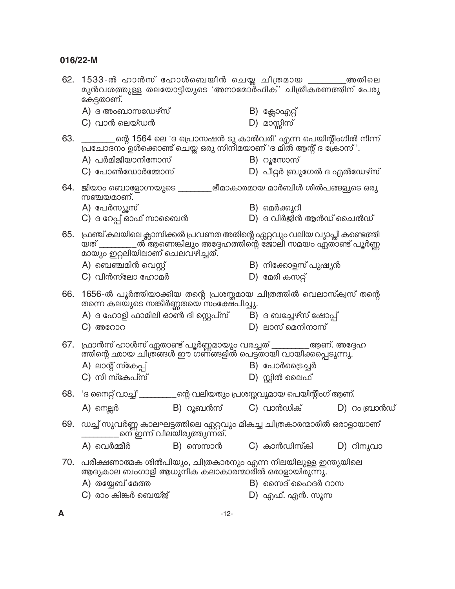| 62. | 1533-ൽ ഹാൻസ് ഹോൾബെയിൻ ചെയ്ത ചിത്രമായ ________അതിലെ<br>മുൻവശത്തുള്ള തലയോട്ടിയുടെ 'അനാമോർഫിക്' ചിത്രീകരണത്തിന് പേരു<br>കേട്ടതാണ്.                                                   |                          |  |                                          |               |  |
|-----|-----------------------------------------------------------------------------------------------------------------------------------------------------------------------------------|--------------------------|--|------------------------------------------|---------------|--|
|     | A) ദ അംബാസഡേഴ്സ്<br>$C)$ വാൻ ലെയ്ഡൻ                                                                                                                                               |                          |  | B) ക്ലോഎറ്റ്<br>$D)$ മാസ്സിസ്            |               |  |
| 63. | _________ന്റെ 1564 ലെ 'ദ പ്രൊസഷൻ ടു കാൽവരി' എന്ന പെയിന്റിംഗിൽ നിന്ന്<br>പ്രചോദനം ഉൾക്കൊണ്ട് ചെയ്ത ഒരു സിനിമയാണ് 'ദ മിൽ ആന്റ് ദ ക്രോസ്' .<br>A) പർമിജിയാനിനോസ്                     |                          |  | B) റൂസോസ്                                |               |  |
|     | $C$ ) പോൺഡോർമ്മോസ്                                                                                                                                                                |                          |  | $D$ ) പീറ്റർ ബ്രുഗേൽ ദ എൽഡേഴ്സ്          |               |  |
|     | 64. ജിയാം ബൊളോഗ്നയുടെ ________ ഭീമാകാരമായ മാർബിൾ ശിൽപങ്ങളുടെ ഒരു<br>സഞ്ചയമാണ്.                                                                                                    |                          |  |                                          |               |  |
|     | A) പേർസ്യൂസ്<br>C) ദ റേപ്പ് ഓഫ് സാബൈൻ                                                                                                                                             |                          |  | B) മെർക്കുറി<br>$D)$ ദ വിർജിൻ ആൻഡ് ചൈൽഡ് |               |  |
| 65. | ഫ്രഞ്ച് കലയിലെ ക്ലാസിക്കൽ പ്രവണത അതിന്റെ ഏറ്റവും വലിയ വ്യാപ്തി കണ്ടെത്തി<br>യത് _________ൽ് ആണെങ്കിലും അദ്ദേഹത്തിന്റെ ജോലി സമയം ഏതാണ്ട് പൂർണ്ണ<br>മായും ഇറ്റലിയിലാണ് ചെലവഴിച്ചത്. |                          |  |                                          |               |  |
|     | A) ബെഞ്ചമിൻ വെസ്റ്റ്                                                                                                                                                              |                          |  | B) നിക്കോളസ് പുഷ്യൻ                      |               |  |
|     | $C)$ വിൻസ്ലോ ഹോമർ                                                                                                                                                                 |                          |  | $D)$ മേരി കസറ്റ്                         |               |  |
| 66. | 1656-ൽ പൂർത്തിയാക്കിയ തന്റെ പ്രശസ്തമായ ചിത്രത്തിൽ വെലാസ്ക്വസ് തന്റെ<br>തന്നെ കലയുടെ സങ്കീർണ്ണതയെ സംക്ഷേപിച്ചു.                                                                    |                          |  |                                          |               |  |
|     | A) ദ ഹോളി ഫാമിലി ഓൺ ദി സ്റ്റെപ്സ് B) ദ ബച്ചേഴ്സ് ഷോപ്പ്                                                                                                                           |                          |  |                                          |               |  |
|     | $C)$ അറോറ                                                                                                                                                                         |                          |  | $D)$ ലാസ് മെനിനാസ്                       |               |  |
| 67. | <u> സ്രാ</u> ൻസ് ഹാൾസ് ഏതാണ്ട് പൂർണ്ണമായും വരച്ചത് ________ ആണ്. അദ്ദേഹ<br>ത്തിന്റെ ഛായ ചിത്ര്ങൾ ഈ ഗണ്ണങളിൽ പെട്ട്തായി വായിക്കപ്പെടുന്നു.                                         |                          |  |                                          |               |  |
|     | A) ലാന്റ് സ്കേപ്പ്                                                                                                                                                                |                          |  | B) പോർട്രൈച്ചർ                           |               |  |
|     | $C)$ സീ സ്കേപ്സ്                                                                                                                                                                  |                          |  | $D)$ സ്റ്റിൽ ലൈഫ്                        |               |  |
| 68. | 'ദ നൈറ്റ് വാച്ച്' __________ന്റെ വലിയതും പ്രശസ്തവുമായ പെയിന്റിംഗ് ആണ്.                                                                                                            |                          |  |                                          |               |  |
|     | A) നെല്ലർ                                                                                                                                                                         | $B)$ റൂബൻസ് $C)$ വാൻഡിക് |  |                                          | D) റം ബ്രാൻഡ് |  |
| 69. | ഡച്ച് സുവർണ്ണ കാലഘട്ടത്തിലെ ഏറ്റവും മികച്ച ചിത്രകാരന്മാരിൽ ഒരാളായാണ്<br>നെ ഇന്ന് വിലയിരുത്തുന്നത്.                                                                                |                          |  |                                          |               |  |
|     | A) വെർമ്മീർ                                                                                                                                                                       | $\mathsf{B}$ ) സെസാൻ     |  | C) കാൻഡിസ്കി                             | D) റിനുവാ     |  |
| 70. | പരീക്ഷണാത്മക ശിൽപിയും, ചിത്രകാരനും എന്ന നിലയിലുള്ള ഇന്ത്യയിലെ<br>ആദ്യകാല ബംഗാളി ആധുനിക കലാകാരന്മാരിൽ ഒരാളായിരുന്നു.                                                               |                          |  |                                          |               |  |
|     | A) തയ്യേബ് മേത്ത                                                                                                                                                                  |                          |  | B) സൈദ് ഹൈദർ റാസ                         |               |  |
|     | $C$ ) രാം കിങ്കർ ബെയ്ജ്                                                                                                                                                           |                          |  | D) എഫ്. എൻ. സൂസ                          |               |  |
| A   |                                                                                                                                                                                   | $-12-$                   |  |                                          |               |  |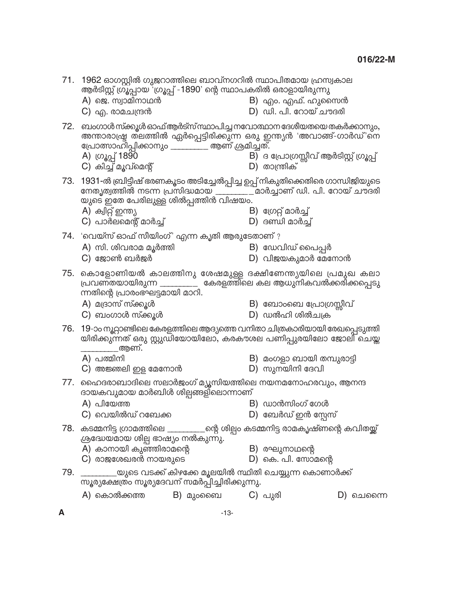|     | 71. 1962 ഓഗസ്റ്റിൽ ഗുജറാത്തിലെ ബാവ്നഗറിൽ സ്ഥാപിതമായ ഹ്രസ്വകാല<br>ആർടിസ്റ്റ് ഗ്രൂപ്പായ 'ഗ്രൂപ്പ്' -1890' ന്റെ സ്ഥാപകരിൽ ഒരാളായിരുന്നു                                                                                                     |                                                         |              |  |
|-----|------------------------------------------------------------------------------------------------------------------------------------------------------------------------------------------------------------------------------------------|---------------------------------------------------------|--------------|--|
|     | $A)$ ജെ. സ്വാമിനാഥൻ                                                                                                                                                                                                                      | B) എം. എഫ്. ഹുസൈൻ                                       |              |  |
|     | C) എ. രാമചന്ദ്രൻ                                                                                                                                                                                                                         | D) ഡി. പി. റോയ് ചൗദരി                                   |              |  |
| 72. | ബംഗാൾ സ്ക്കൂൾ ഓഫ് ആർട്സ് സ്ഥാപിച്ച നവോത്ഥാന ദേശീയതയെ തകർക്കാനും,<br>അന്താരാഷ്ട്ര തലത്തിൽ ഏർപ്പെട്ടിരിക്കുന്ന ഒരു ഇന്ത്യൻ 'അവാങ്ങ്-ഗാർഡ്'നെ<br>പ്രോത്സാഹിപ്പിക്കാനും ________ ആണ് ശ്രമിച്ചത്.<br>A) ഗ്രൂപ്പ് 1890<br>C) കിച്ച് മൂവ്മെന്റ് | B) ദ പ്രോഗ്രസ്സീവ് ആർടിസ്റ്റ് ഗ്രൂപ്പ്<br>D) താന്ത്രിക് |              |  |
| 73. | 1931-ൽ ബ്രിട്ടീഷ് ഭരണകൂടം അടിച്ചേൽപ്പിച്ച ഉപ്പ് നികുതിക്കെതിരെ ഗാന്ധിജിയുടെ<br>യുടെ ഇതേ പേരിലുള്ള ശിൽപ്പത്തിൻ വിഷയം.<br>A) ക്വിറ്റ് ഇന്ത്യ<br>C) പാർലമെന്റ് മാർച്ച്                                                                      | B) ഗ്രേറ്റ് മാർച്ച്<br>D) ദണ്ഡി മാർച്ച്                 |              |  |
|     | 74. 'വെയ്സ് ഓഫ് സീയിംഗ്' എന്ന കൃതി ആരുടേതാണ് ?                                                                                                                                                                                           |                                                         |              |  |
|     | A) സി. ശിവരാമ മൂർത്തി                                                                                                                                                                                                                    | B) ഡേവിഡ് പൈപ്പർ                                        |              |  |
|     | $C)$ ജോൺ ബർജർ                                                                                                                                                                                                                            | D) വിജയകുമാർ മേനോൻ                                      |              |  |
|     | 75. കൊളോണിയൽ കാലത്തിനു ശേഷമുള്ള ദക്ഷിണേന്ത്യയിലെ പ്രമുഖ കലാ<br>പ്രവണതയായിരുന്ന __________ കേരളത്തിലെ കല ആധുനികവൽക്കരിക്കപ്പെടു<br>ന്നതിന്റെ പ്രാരംഭഘട്ടമായി മാറി.                                                                        |                                                         |              |  |
|     | A) മദ്രാസ് സ്ക്കൂൾ                                                                                                                                                                                                                       | B) ബോംബെ പ്രോഗ്രസ്സീവ്                                  |              |  |
|     | $C$ ) ബംഗാൾ സ്ക്കൂൾ                                                                                                                                                                                                                      | D) ഡൽഹി ശിൽചക്ര                                         |              |  |
| 76. | 19-ാം നൂറ്റാണ്ടിലെ കേരളത്തിലെ ആദ്യത്തെ വനിതാ ചിത്രകാരിയായി രേഖപ്പെടുത്തി<br>യിരിക്കുന്നത് ഒരു സ്റ്റുഡിയോയിലോ, കരകൗശല പണിപ്പുരയിലോ ജോലി ചെയ്ത<br>ആണ്.                                                                                     |                                                         |              |  |
|     | A) പത്മിനി                                                                                                                                                                                                                               | B) മംഗളാ ബായി തമ്പുരാട്ടി                               |              |  |
|     | C) അജ്ഞലി ഇള മേനോൻ                                                                                                                                                                                                                       | $D)$ സുനയിനി ദേവി                                       |              |  |
|     | 77. ഹൈദരാബാദിലെ സലാർജംഗ് മ്യൂസിയത്തിലെ നയനമനോഹരവും, ആനന്ദ<br>ദായകവുമായ മാർബിൾ ശില്പങ്ങളിലൊന്നാണ്                                                                                                                                         |                                                         |              |  |
|     | $A)$ പിയേത്ത                                                                                                                                                                                                                             | $B)$ ഡാൻസിംഗ് ഗേൾ                                       |              |  |
|     | C) വെയിൽഡ് റബേക്ക                                                                                                                                                                                                                        | $D)$ ബേർഡ് ഇൻ സ്റ്റേസ്                                  |              |  |
|     | 78. കടമ്മനിട്ട ഗ്രാമത്തിലെ __________ന്റെ ശില്പം കടമ്മനിട്ട രാമകൃഷ്ണന്റെ കവിതയ്ക്ക്<br>ശ്രദ്ധേയമായ ശില്പ ഭാഷ്യം നൽകുന്നു.                                                                                                                |                                                         |              |  |
|     | A) കാനായി കുഞ്ഞിരാമന്റെ<br>C) രാജശേഖരൻ നായരുടെ                                                                                                                                                                                           | B) രഘുനാഥന്റെ<br>D) കെ. പി. സോമന്റെ                     |              |  |
| 79. | ________യുടെ വടക്ക് കിഴക്കേ മൂലയിൽ സ്ഥിതി ചെയ്യുന്ന കൊണാർക്ക്                                                                                                                                                                            |                                                         |              |  |
|     | സൂര്യക്ഷേത്രം സൂര്യദേവന് സമർപ്പിച്ചിരിക്കുന്നു.                                                                                                                                                                                          |                                                         |              |  |
|     | A) കൊൽക്കത്ത<br>B) മുംബൈ                                                                                                                                                                                                                 | C) പുരി                                                 | D)<br>ചെന്നൈ |  |
| A   | $-13-$                                                                                                                                                                                                                                   |                                                         |              |  |
|     |                                                                                                                                                                                                                                          |                                                         |              |  |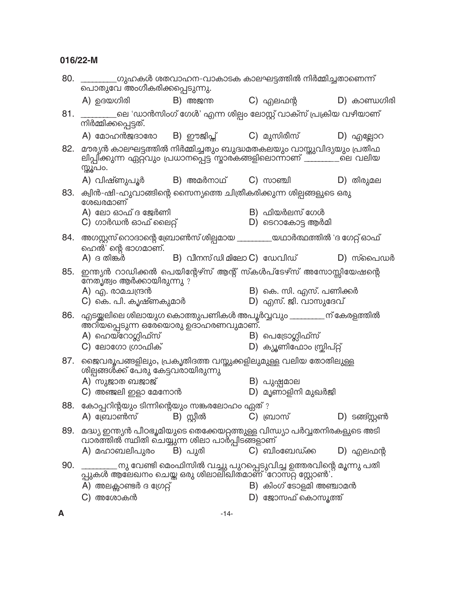| 80. | പൊതുവേ അംഗീകരിക്കപ്പെടുന്നു.                                                                                                                                   |                                                                 |                                                |                  |
|-----|----------------------------------------------------------------------------------------------------------------------------------------------------------------|-----------------------------------------------------------------|------------------------------------------------|------------------|
|     | A) ഉദയഗിരി                                                                                                                                                     | <b>B)</b> അജന്ത                                                 | C) എലഫന്റ                                      | $D)$ കാണ്ഡഗിരി   |
| 81. | __________ലെ 'ഡാൻസിംഗ് ഗേൾ' എന്ന ശില്പം ലോസ്റ്റ് വാക്സ് പ്രക്രിയ വഴിയാണ്<br>നിർമ്മിക്കപ്പെട്ടത്.                                                               |                                                                 |                                                |                  |
|     | A) മോഹൻജദാരോ B) ഈജിപ്ത് C) മുസിരീസ്                                                                                                                            |                                                                 |                                                | $D)$ എല്ലോറ      |
| 82. | മൗര്യൻ കാലഘട്ടത്തിൽ നിർമ്മിച്ചതും ബുദ്ധമതകലയും വാസ്തുവിദ്യയും പ്രതിഫ<br>ലിപ്പി്ക്കുന്ന ഏറ്റ്വും പ്രധാനപ്പെട്ട സ്മാര്കങ്ങളിലൊന്നാണ് _________ലെ വലിയ<br>സ്തൂപം. |                                                                 |                                                |                  |
|     | A) വിഷ്ണുപൂർ         B) അമർനാഥ്     C) സാഞ്ചി                                                                                                                  |                                                                 |                                                | D) തിരുമല        |
| 83. | ക്വിൻ-ഷി-ഹുവാങ്ങിന്റെ സൈന്യത്തെ ചിത്രീകരിക്കുന്ന ശില്പങ്ങളുടെ ഒരു<br>ശേഖരമാണ്                                                                                  |                                                                 |                                                |                  |
|     | A) ലോ ഓഫ് ദ ജേർണി<br>$C$ ) ഗാർഡൻ ഓഫ് ലൈറ്റ്                                                                                                                    |                                                                 | $B)$ ഫിയർലസ് ഗേൾ<br>$D)$ ടെറാകോട്ട ആർമി        |                  |
| 84. | അഗസ്റ്റസ് റൊദാന്റെ ബ്രോൺസ് ശില്പമായ _________യഥാർത്ഥത്തിൽ 'ദ ഗേറ്റ് ഓഫ്<br>ഹെൽ' ന്റെ ഭാഗമാണ്.                                                                  |                                                                 |                                                |                  |
|     | $A)$ ദ തിങ്കർ                                                                                                                                                  |                                                                 | <b>B)</b> വീനസ്ഡി മിലോ $C$ ) ഡേവിഡ്            | D) സ്പൈഡർ        |
| 85. | ഇന്ത്യൻ റാഡിക്കൽ പെയിന്റേഴ്സ് ആന്റ് സ്കൾപ്ടേഴ്സ് അസോസ്സിയേഷന്റെ<br>നേതൃത്വം ആർക്കായിരുന്നു ?<br>A) എ. രാമചന്ദ്രൻ                                               |                                                                 | B) കെ. സി. എസ്. പണിക്കർ                        |                  |
|     | C) കെ. പി. കൃഷ്ണകുമാർ                                                                                                                                          |                                                                 | D) എസ്. ജി. വാസുദേവ്                           |                  |
| 86. | എടയ്ക്കലിലെ ശിലായുഗ കൊത്തുപണികൾ അപൂർവ്വവും _________ ന് കേരളത്തിൽ<br>അറിയപ്പെടുന്ന ഒരേയൊരു ഉദാഹരണവുമാണ്.<br>A) ഹെയ്റോഗ്ലിഫ്സ്<br>C) ലോഗോ ഗ്രാഫിക്              |                                                                 | B) പെട്രോഗ്ലിഫ്സ്<br>D) ക്യൂണിഫോം സ്ക്രിപ്റ്റ് |                  |
| 87. | ളൈവരൂപങ്ങളിലും, പ്രകൃതിദത്ത വസ്തുക്കളിലുമുള്ള വലിയ തോതിലുള്ള                                                                                                   |                                                                 |                                                |                  |
|     | ശില്പങ്ങൾക്ക് പേരു കേട്ടവരായിരുന്നു                                                                                                                            |                                                                 |                                                |                  |
|     | A) സുജാത ബജാജ്                                                                                                                                                 |                                                                 | B) പുഷ്പമാല                                    |                  |
|     | $C$ ) അഞ്ജലി ഇളാ മേനോൻ                                                                                                                                         |                                                                 | $D)$ മൃണാളിനി മുഖർജി                           |                  |
| 88. | കോപ്പറിന്റയും ടിന്നിന്റെയും സങ്കരലോഹം ഏത് ?<br>$A)$ ബ്രോൺസ്                                                                                                    | $B)$ gy $\beta$ ൽ                                               | $C)$ ബ്രാസ്                                    | $D)$ ടങ്ങ്സ്റ്റൺ |
| 89. | മദ്ധ്യ ഇന്ത്യൻ പീഠഭൂമിയുടെ തെക്കേയറ്റത്തുള്ള വിന്ധ്യാ പർവ്വതനിരകളുടെ അടി<br>വാരത്തിൽ സ്ഥിതി ചെയ്യുന്ന ശിലാ പാർ്പ്പിടങ്ങളാണ്                                    |                                                                 |                                                |                  |
|     | A) മഹാബലിപുരം                                                                                                                                                  | B) പുരി                                                         | $C)$ ബിംബേഡ്ക്ക                                | D) എലഫന്റ        |
| 90. | പ്പുകൾ ആലേഖനം ചെയ്ത ഒരു ശിലാലി്ഖിത്മാണ് ്റോസ്റ്റ സ്റ്റോൺ`.                                                                                                     | _നു വേണ്ടി മെംഫിസിൽ വച്ചു പുറപ്പെടുവിച്ച ഉത്തരവിന്റെ മൂന്നു പതി |                                                |                  |
|     | A) അലക്സാണ്ടർ ദ ഗ്രേറ്റ്                                                                                                                                       |                                                                 | $B$ ) കിംഗ് ടോളമി അഞ്ചാമൻ                      |                  |
|     | അശോകൻ                                                                                                                                                          |                                                                 | D) ജോസഫ് കൊസൂത്ത്                              |                  |
| A   |                                                                                                                                                                | $-14-$                                                          |                                                |                  |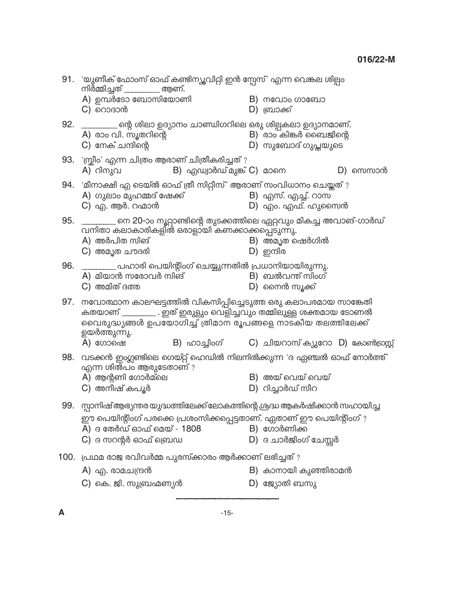| 91.  | 'യുണീക് ഫോംസ് ഓഫ് കണ്ടിന്യൂവിറ്റി ഇൻ സ്റ്റേസ്' എന്ന വെങ്കല ശില്പം<br>നിർമ്മിച്ചത് _________ ആണ്.                                                                                                                     |                                                                  |                                                 |    |       |
|------|----------------------------------------------------------------------------------------------------------------------------------------------------------------------------------------------------------------------|------------------------------------------------------------------|-------------------------------------------------|----|-------|
|      | A) ഉമ്പർടോ ബോസിയോണി<br>$C)$ റൊദാൻ                                                                                                                                                                                    |                                                                  | $B)$ നവോം ഗാബോ<br>D) ബ്രാക്ക്                   |    |       |
| 92.  | _______ ന്റെ ശിലാ ഉദ്യാനം ചാണ്ഡിഗറിലെ ഒരു ശില്പകലാ ഉദ്യാനമാണ്.<br>A) രാം വി. സൂതറിന്റെ<br>C) നേക്ചന്ദിന്റെ                                                                                                           |                                                                  | $B)$ രാം കിങ്കർ ബൈജിന്റെ<br>D) സുബോദ് ഗുപ്തയുടെ |    |       |
| 93.  | 'സ്ക്രീം' എന്ന ചിത്രം ആരാണ് ചിത്രീകരിച്ചത് ?<br>A) റിനുവ                                                                                                                                                             | $B$ ) എഡ്വാർഡ് മുങ്ക് $C$ ) മാനെ                                 |                                                 | D) | സെസാൻ |
| 94.  | 'മീനാക്ഷി എ ടെയ്ൽ ഓഫ് ത്രീ സിറ്റീസ്' ആരാണ് സംവിധാനം ചെയ്തത് ?<br>A) ഗുലാം മുഹമ്മദ് ഷേക്ക്<br>C) എ. ആർ. റഹ്മാൻ                                                                                                        |                                                                  | B) എസ്. എച്ച്. റാസ<br>D) എം. എഫ്. ഹുസൈൻ         |    |       |
| 95.  | വനിതാ കലാകാരികളിൽ ഒരാളായി കണക്കാക്കപ്പെടുന്നു.<br>A) അർപിത സിങ്<br>C) അമൃത ചൗദരി                                                                                                                                     | .നെ 20-ാം നൂറ്റാണ്ടിന്റെ തുടക്കത്തിലെ ഏറ്റവും മികച്ച അവാങ്-ഗാർഡ് | $B)$ അമൃത ഷെർഗിൽ<br>$D)$ ഇന്ദിര                 |    |       |
| 96.  | ________ പഹാരി പെയിന്റിംഗ് ചെയ്യുന്നതിൽ പ്രധാനിയായിരുന്നു.<br>A) മിയാൻ സരോവർ സിങ്<br>$C)$ അമിത് ദത്ത                                                                                                                 |                                                                  | $B)$ ബൽവന്ത് സിംഗ്<br>$D)$ നൈൻ സൂക്ക്           |    |       |
| 97.  | നവോത്ഥാന കാലഘട്ടത്തിൽ വികസിപ്പിച്ചെടുത്ത ഒരു കലാപരമായ സാങ്കേതി<br>കതയാണ് __________ . ഇത് ഇരുളും വെളിച്ചവും തമ്മിലുള്ള ശക്തമായ ടോണൽ<br>വൈരുദ്ധ്യങ്ങൾ ഉപയോഗിച്ച് ത്രിമാന രൂപങ്ങളെ നാടകീയ തലത്തിലേക്ക്<br>ഉയർത്തുന്നു. |                                                                  |                                                 |    |       |
|      | $A)$ ഗോഷെ                                                                                                                                                                                                            | B) ഹാച്ചിംഗ്      C) ചിയറാസ്ക്യുറോ D) കോൺട്രാസ്റ്റ്              |                                                 |    |       |
| 98.  | വടക്കൻ ഇംഗ്ലണ്ടിലെ ഗെയ്റ്റ് ഹെഡിൽ നിലനിൽക്കുന്ന 'ദ ഏഞ്ചൽ ഓഫ് നോർത്ത്'<br>എന്ന ശിൽപം ആരുടേതാണ് ?<br>$A)$ ആന്റണി ഗോർമ്ലെ<br>C) അനീഷ് കപൂർ                                                                              |                                                                  | B) അയ് വെയ് വെയ്<br>D) റിച്ചാർഡ് സീറ            |    |       |
| 99.  | സ്റ്റാനിഷ് ആഭ്യന്തര യുദ്ധത്തിലേക്ക് ലോകത്തിന്റെ ശ്രദ്ധ ആകർഷിക്കാൻ സഹായിച്ച<br>ഈ പെയിന്റിംഗ് പരക്കെ പ്രശംസിക്കപ്പെട്ടതാണ്. ഏതാണ് ഈ പെയിന്റിംഗ് ?<br>A) ദ തേർഡ് ഓഫ് മെയ് - 1808<br>$C$ ) ദ സറന്റർ ഓഫ് ബ്രെഡ            |                                                                  | $B)$ ഗോർണിക്ക<br>D) ദ ചാർജിംഗ് ചേസ്റ്റർ         |    |       |
| 100. | പ്രഥമ രാജ രവിവർമ്മ പുരസ്ക്കാരം ആർക്കാണ് ലഭിച്ചത് ?<br>A) എ. രാമചന്ദ്രൻ<br>C) കെ. ജി. സുബ്രഹ്മണ്യൻ                                                                                                                    |                                                                  | B) കാനായി കുഞ്ഞിരാമൻ<br>$D)$ ജ്യോതി ബസു         |    |       |

 $\boldsymbol{\mathsf{A}}$